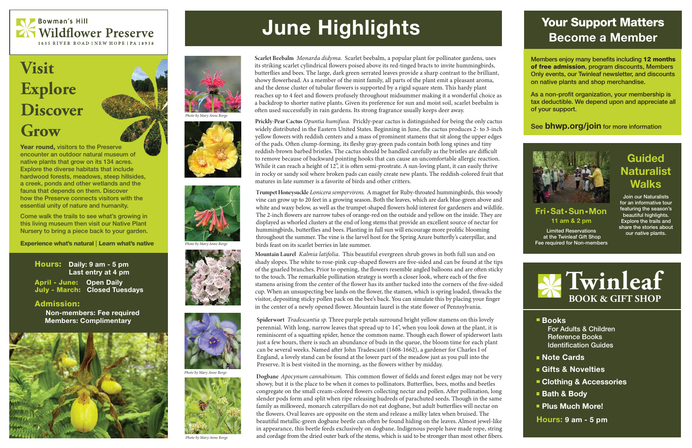Year round, visitors to the Preserve encounter an outdoor natural museum of native plants that grow on its 134 acres. Explore the diverse habitats that include hardwood forests, meadows, steep hillsides, a creek, ponds and other wetlands and the fauna that depends on them. Discover how the Preserve connects visitors with the essential unity of nature and humanity.

Come walk the trails to see what's growing in this living museum then visit our Native Plant Nursery to bring a piece back to your garden.

Experience what's natural Learn what's native

#### ■ Books For Adults & Children Reference Books Identification Guides

- Note Cards
- Gifts & Novelties
- **Clothing & Accessories**
- Bath & Body
- **Plus Much More!**



## **Visit Explore Discover Grow**

### Guided **Naturalist Walks**

#### 11 am & 2 pm Fri • Sat • Sun • Mon

## Your Support Matters Become a Member

Members enjoy many benefits including 12 months of free admission, program discounts, Members Only events, our Twinleaf newsletter, and discounts on native plants and shop merchandise.

As a non-profit organization, your membership is tax deductible. We depend upon and appreciate all of your support.

See **bhwp.org/join** for more information





Hours: 9 am - 5 pm

Limited Reservations at the Twinleaf Gift Shop Fee required for Non-members

Join our Naturalists for an informative tour featuring the season's beautiful highlights. Explore the trails and share the stories about our native plants.

Hours: Daily: 9 am - 5 pm Last entry at 4 pm April - June: Open Daily July - March: Closed Tuesdays

#### Admission:

 Non-members: Fee required Members: Complimentary





*Photo by Mary Anne Borge* 





Photo by Mary Anne Borge





**Photo by Mary Anne Borge** 



**Photo by Mary Anne Borge** 

# June Highlights

Scarlet Beebalm Monarda didyma. Scarlet beebalm, a popular plant for pollinator gardens, uses its striking scarlet cylindrical flowers poised above its red-tinged bracts to invite hummingbirds, butterflies and bees. The large, dark green serrated leaves provide a sharp contrast to the brilliant, showy flowerhead. As a member of the mint family, all parts of the plant emit a pleasant aroma, and the dense cluster of tubular flowers is supported by a rigid square stem. This hardy plant reaches up to 4 feet and flowers profusely throughout midsummer making it a wonderful choice as a backdrop to shorter native plants. Given its preference for sun and moist soil, scarlet beebalm is often used successfully in rain gardens. Its strong fragrance usually keeps deer away.

Prickly-Pear Cactus Opuntia humifusa. Prickly-pear cactus is distinguished for being the only cactus widely distributed in the Eastern United States. Beginning in June, the cactus produces 2- to 3-inch yellow flowers with reddish centers and a mass of prominent stamens that sit along the upper edges of the pads. Often clump-forming, its fleshy gray-green pads contain both long spines and tiny reddish-brown barbed bristles. The cactus should be handled carefully as the bristles are difficult to remove because of backward pointing hooks that can cause an uncomfortable allergic reaction. While it can reach a height of 12", it is often semi-prostrate. A sun-loving plant, it can easily thrive in rocky or sandy soil where broken pads can easily create new plants. The reddish-colored fruit that matures in late summer is a favorite of birds and other critters.

Trumpet Honeysuckle *Lonicera sempervirens*. A magnet for Ruby-throated hummingbirds, this woody vine can grow up to 20 feet in a growing season. Both the leaves, which are dark blue-green above and white and waxy below, as well as the trumpet-shaped flowers hold interest for gardeners and wildlife. The 2-inch flowers are narrow tubes of orange-red on the outside and yellow on the inside. They are displayed as whorled clusters at the end of long stems that provide an excellent source of nectar for hummingbirds, butterflies and bees. Planting in full sun will encourage more prolific blooming throughout the summer. The vine is the larvel host for the Spring Azure butterfly's caterpillar, and birds feast on its scarlet berries in late summer.

Mountain Laurel *Kalmia latifolia*. This beautiful evergreen shrub grows in both full sun and on shady slopes. The white to rose-pink cup-shaped flowers are five-sided and can be found at the tips of the gnarled branches. Prior to opening, the flowers resemble angled balloons and are often sticky to the touch. The remarkable pollination strategy is worth a closer look, where each of the five stamens arising from the center of the flower has its anther tucked into the corners of the five-sided cup. When an unsuspecting bee lands on the flower, the stamen, which is spring loaded, thwacks the visitor, depositing sticky pollen pack on the bee's back. You can simulate this by placing your finger in the center of a newly opened flower. Mountain laurel is the state flower of Pennsylvania.

Spiderwort *Tradescantia sp.* Three purple petals surround bright yellow stamens on this lovely perennial. With long, narrow leaves that spread up to 14", when you look down at the plant, it is reminiscent of a squatting spider, hence the common name. Though each flower of spiderwort lasts just a few hours, there is such an abundance of buds in the queue, the bloom time for each plant can be several weeks. Named after John Tradescant (1608-1662), a gardener for Charles I of England, a lovely stand can be found at the lower part of the meadow just as you pull into the Preserve. It is best visited in the morning, as the flowers wither by midday.

Dogbane *Apocynum cannabinum. This common flower of fields and forest edges may not be very* showy, but it is the place to be when it comes to pollinators. Butterflies, bees, moths and beetles congregate on the small cream-colored flowers collecting nectar and pollen. After pollination, long slender pods form and split when ripe releasing hudreds of parachuted seeds. Though in the same family as milkweed, monarch caterpillars do not eat dogbane, but adult butterflies will nectar on the flowers. Oval leaves are opposite on the stem and release a milky latex when bruised. The beautiful metallic-green dogbane beetle can often be found hiding on the leaves. Almost jewel-like in appearance, this beetle feeds exclusively on dogbane. Indigenous people have made rope, string and cordage from the dried outer bark of the stems, which is said to be stronger than most other fibers.